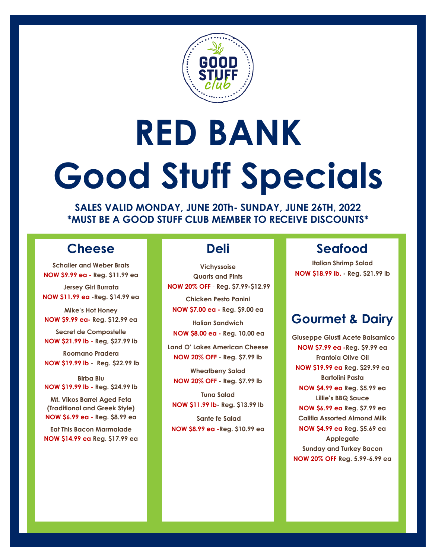

# **RED BANK Good Stuff Specials**

**SALES VALID MONDAY, JUNE 20Th- SUNDAY, JUNE 26TH, 2022 \*MUST BE A GOOD STUFF CLUB MEMBER TO RECEIVE DISCOUNTS\***

### **Cheese**

**Schaller and Weber Brats NOW \$9.99 ea - Reg. \$11.99 ea**

**Jersey Girl Burrata NOW \$11.99 ea -Reg. \$14.99 ea** 

**Mike's Hot Honey NOW \$9.99 ea- Reg. \$12.99 ea**

**Secret de Compostelle NOW \$21.99 lb - Reg, \$27.99 lb**

**Roomano Pradera NOW \$19.99 lb - Reg. \$22.99 lb**

**Birba Blu NOW \$19.99 lb - Reg. \$24.99 lb**

**Mt. Vikos Barrel Aged Feta (Traditional and Greek Style) NOW \$6.99 ea - Reg. \$8.99 ea**

**Eat This Bacon Marmalade NOW \$14.99 ea Reg. \$17.99 ea**

### **Deli**

**Vichyssoise Quarts and Pints NOW 20% OFF** - **Reg. \$7.99-\$12.99** 

**Chicken Pesto Panini NOW \$7.00 ea - Reg. \$9.00 ea**

**Italian Sandwich NOW \$8.00 ea - Reg. 10.00 ea**

**Land O' Lakes American Cheese NOW 20% OFF - Reg. \$7.99 lb**

**Wheatberry Salad NOW 20% OFF - Reg. \$7.99 lb**

**Tuna Salad NOW \$11.99 lb- Reg. \$13.99 lb**

**Sante fe Salad NOW \$8.99 ea -Reg. \$10.99 ea**

## **Seafood**

**Italian Shrimp Salad NOW \$18.99 lb. - Reg. \$21.99 lb**

### **Gourmet & Dairy**

**Giuseppe Giusti Acete Balsamico NOW \$7.99 ea -Reg. \$9.99 ea Frantoia Olive Oil NOW \$19.99 ea Reg. \$29.99 ea Bartolini Pasta NOW \$4.99 ea Reg. \$5.99 ea Lillie's BBQ Sauce NOW \$6.99 ea Reg. \$7.99 ea Califia Assorted Almond Milk NOW \$4.99 ea Reg. \$5.69 ea Applegate Sunday and Turkey Bacon NOW 20% OFF Reg. 5.99-6.99 ea**